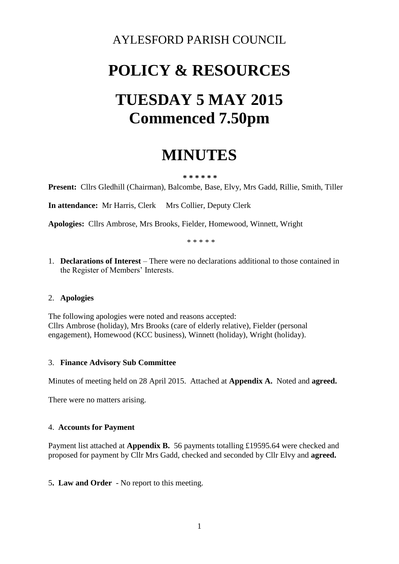### AYLESFORD PARISH COUNCIL

# **POLICY & RESOURCES TUESDAY 5 MAY 2015 Commenced 7.50pm**

## **MINUTES**

#### **\* \* \* \* \* \***

**Present:** Cllrs Gledhill (Chairman), Balcombe, Base, Elvy, Mrs Gadd, Rillie, Smith, Tiller

**In attendance:** Mr Harris, Clerk Mrs Collier, Deputy Clerk

**Apologies:** Cllrs Ambrose, Mrs Brooks, Fielder, Homewood, Winnett, Wright

\* \* \* \* \*

1. **Declarations of Interest** – There were no declarations additional to those contained in the Register of Members' Interests.

#### 2. **Apologies**

The following apologies were noted and reasons accepted: Cllrs Ambrose (holiday), Mrs Brooks (care of elderly relative), Fielder (personal engagement), Homewood (KCC business), Winnett (holiday), Wright (holiday).

#### 3. **Finance Advisory Sub Committee**

Minutes of meeting held on 28 April 2015. Attached at **Appendix A.** Noted and **agreed.**

There were no matters arising.

#### 4. **Accounts for Payment**

Payment list attached at **Appendix B.** 56 payments totalling £19595.64 were checked and proposed for payment by Cllr Mrs Gadd, checked and seconded by Cllr Elvy and **agreed.**

5**. Law and Order** - No report to this meeting.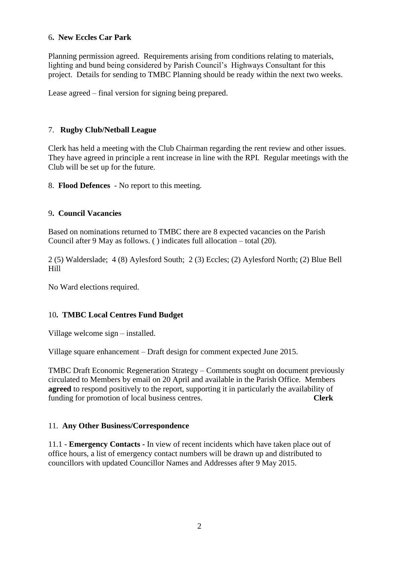#### 6**. New Eccles Car Park**

Planning permission agreed. Requirements arising from conditions relating to materials, lighting and bund being considered by Parish Council's Highways Consultant for this project. Details for sending to TMBC Planning should be ready within the next two weeks.

Lease agreed – final version for signing being prepared.

#### 7. **Rugby Club/Netball League**

Clerk has held a meeting with the Club Chairman regarding the rent review and other issues. They have agreed in principle a rent increase in line with the RPI. Regular meetings with the Club will be set up for the future.

8. **Flood Defences** - No report to this meeting.

#### 9**. Council Vacancies**

Based on nominations returned to TMBC there are 8 expected vacancies on the Parish Council after 9 May as follows. ( ) indicates full allocation – total (20).

2 (5) Walderslade; 4 (8) Aylesford South; 2 (3) Eccles; (2) Aylesford North; (2) Blue Bell Hill

No Ward elections required.

#### 10**. TMBC Local Centres Fund Budget**

Village welcome sign – installed.

Village square enhancement – Draft design for comment expected June 2015.

TMBC Draft Economic Regeneration Strategy – Comments sought on document previously circulated to Members by email on 20 April and available in the Parish Office. Members **agreed** to respond positively to the report, supporting it in particularly the availability of funding for promotion of local business centres. **Clerk**

#### 11. **Any Other Business/Correspondence**

11.1 - **Emergency Contacts -** In view of recent incidents which have taken place out of office hours, a list of emergency contact numbers will be drawn up and distributed to councillors with updated Councillor Names and Addresses after 9 May 2015.